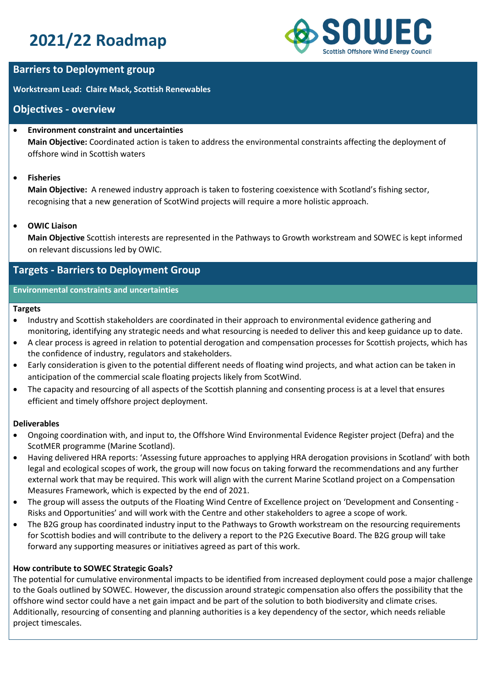# **2021/22 Roadmap**



# **Barriers to Deployment group**

**Workstream Lead: Claire Mack, Scottish Renewables** 

# **Objectives - overview**

# • **Environment constraint and uncertainties**

**Main Objective:** Coordinated action is taken to address the environmental constraints affecting the deployment of offshore wind in Scottish waters

# • **Fisheries**

**Main Objective:** A renewed industry approach is taken to fostering coexistence with Scotland's fishing sector, recognising that a new generation of ScotWind projects will require a more holistic approach.

# • **OWIC Liaison**

**Main Objective** Scottish interests are represented in the Pathways to Growth workstream and SOWEC is kept informed on relevant discussions led by OWIC.

# **Targets - Barriers to Deployment Group**

## **Environmental constraints and uncertainties**

### **Targets**

- Industry and Scottish stakeholders are coordinated in their approach to environmental evidence gathering and monitoring, identifying any strategic needs and what resourcing is needed to deliver this and keep guidance up to date.
- A clear process is agreed in relation to potential derogation and compensation processes for Scottish projects, which has the confidence of industry, regulators and stakeholders.
- Early consideration is given to the potential different needs of floating wind projects, and what action can be taken in anticipation of the commercial scale floating projects likely from ScotWind.
- The capacity and resourcing of all aspects of the Scottish planning and consenting process is at a level that ensures efficient and timely offshore project deployment.

## **Deliverables**

- Ongoing coordination with, and input to, the Offshore Wind Environmental Evidence Register project (Defra) and the ScotMER programme (Marine Scotland).
- Having delivered HRA reports: 'Assessing future approaches to applying HRA derogation provisions in Scotland' with both legal and ecological scopes of work, the group will now focus on taking forward the recommendations and any further external work that may be required. This work will align with the current Marine Scotland project on a Compensation Measures Framework, which is expected by the end of 2021.
- The group will assess the outputs of the Floating Wind Centre of Excellence project on 'Development and Consenting Risks and Opportunities' and will work with the Centre and other stakeholders to agree a scope of work.
- The B2G group has coordinated industry input to the Pathways to Growth workstream on the resourcing requirements for Scottish bodies and will contribute to the delivery a report to the P2G Executive Board. The B2G group will take forward any supporting measures or initiatives agreed as part of this work.

# **How contribute to SOWEC Strategic Goals?**

The potential for cumulative environmental impacts to be identified from increased deployment could pose a major challenge to the Goals outlined by SOWEC. However, the discussion around strategic compensation also offers the possibility that the offshore wind sector could have a net gain impact and be part of the solution to both biodiversity and climate crises. Additionally, resourcing of consenting and planning authorities is a key dependency of the sector, which needs reliable project timescales.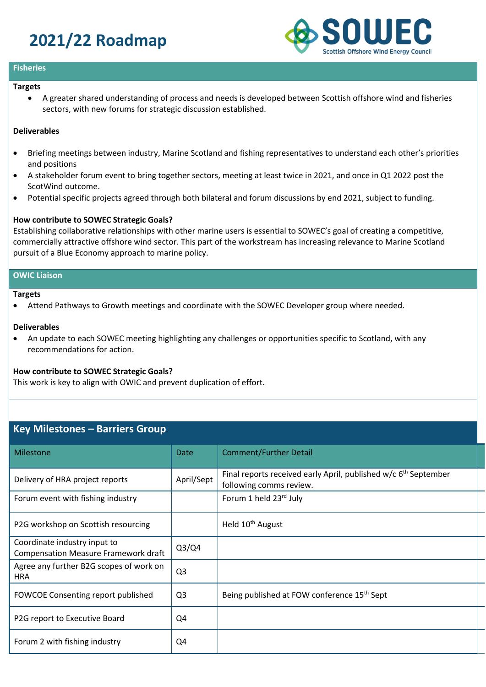# **2021/22 Roadmap**



### **Fisheries**

#### **Targets**

• A greater shared understanding of process and needs is developed between Scottish offshore wind and fisheries sectors, with new forums for strategic discussion established.

## **Deliverables**

- Briefing meetings between industry, Marine Scotland and fishing representatives to understand each other's priorities and positions
- A stakeholder forum event to bring together sectors, meeting at least twice in 2021, and once in Q1 2022 post the ScotWind outcome.
- Potential specific projects agreed through both bilateral and forum discussions by end 2021, subject to funding.

## **How contribute to SOWEC Strategic Goals?**

Establishing collaborative relationships with other marine users is essential to SOWEC's goal of creating a competitive, commercially attractive offshore wind sector. This part of the workstream has increasing relevance to Marine Scotland pursuit of a Blue Economy approach to marine policy.

### **OWIC Liaison**

#### **Targets**

• Attend Pathways to Growth meetings and coordinate with the SOWEC Developer group where needed.

#### **Deliverables**

• An update to each SOWEC meeting highlighting any challenges or opportunities specific to Scotland, with any recommendations for action.

## **How contribute to SOWEC Strategic Goals?**

This work is key to align with OWIC and prevent duplication of effort.

# **Key Milestones – Barriers Group***.*

| Milestone                                                                   | <b>Date</b>    | <b>Comment/Further Detail</b>                                                                          |
|-----------------------------------------------------------------------------|----------------|--------------------------------------------------------------------------------------------------------|
| Delivery of HRA project reports                                             | April/Sept     | Final reports received early April, published w/c 6 <sup>th</sup> September<br>following comms review. |
| Forum event with fishing industry                                           |                | Forum 1 held 23rd July                                                                                 |
| P2G workshop on Scottish resourcing                                         |                | Held 10 <sup>th</sup> August                                                                           |
| Coordinate industry input to<br><b>Compensation Measure Framework draft</b> | Q3/Q4          |                                                                                                        |
| Agree any further B2G scopes of work on<br><b>HRA</b>                       | Q <sub>3</sub> |                                                                                                        |
| FOWCOE Consenting report published                                          | Q <sub>3</sub> | Being published at FOW conference 15 <sup>th</sup> Sept                                                |
| P2G report to Executive Board                                               | Q4             |                                                                                                        |
| Forum 2 with fishing industry                                               | Q4             |                                                                                                        |